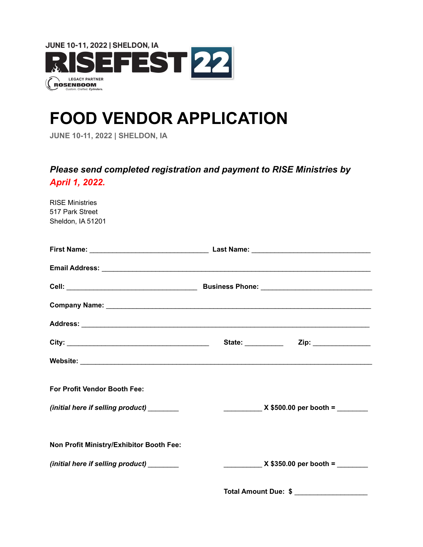

# **FOOD VENDOR APPLICATION**

**JUNE 10-11, 2022 | SHELDON, IA**

# *Please send completed registration and payment to RISE Ministries by April 1, 2022.*

| $X $350.00 per booth =$ |                                             |
|-------------------------|---------------------------------------------|
|                         |                                             |
|                         |                                             |
|                         | Total Amount Due: \$ ______________________ |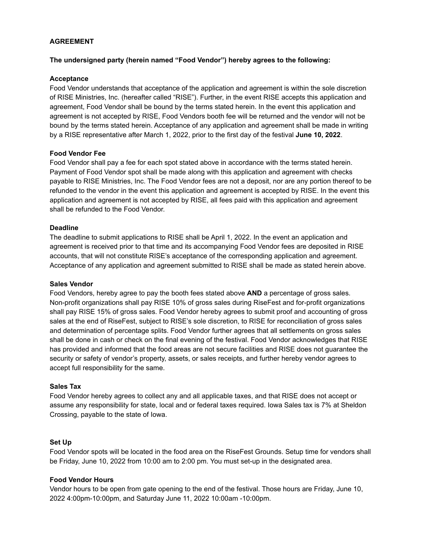# **AGREEMENT**

### **The undersigned party (herein named "Food Vendor") hereby agrees to the following:**

# **Acceptance**

Food Vendor understands that acceptance of the application and agreement is within the sole discretion of RISE Ministries, Inc. (hereafter called "RISE"). Further, in the event RISE accepts this application and agreement, Food Vendor shall be bound by the terms stated herein. In the event this application and agreement is not accepted by RISE, Food Vendors booth fee will be returned and the vendor will not be bound by the terms stated herein. Acceptance of any application and agreement shall be made in writing by a RISE representative after March 1, 2022, prior to the first day of the festival **June 10, 2022**.

### **Food Vendor Fee**

Food Vendor shall pay a fee for each spot stated above in accordance with the terms stated herein. Payment of Food Vendor spot shall be made along with this application and agreement with checks payable to RISE Ministries, Inc. The Food Vendor fees are not a deposit, nor are any portion thereof to be refunded to the vendor in the event this application and agreement is accepted by RISE. In the event this application and agreement is not accepted by RISE, all fees paid with this application and agreement shall be refunded to the Food Vendor.

### **Deadline**

The deadline to submit applications to RISE shall be April 1, 2022. In the event an application and agreement is received prior to that time and its accompanying Food Vendor fees are deposited in RISE accounts, that will not constitute RISE's acceptance of the corresponding application and agreement. Acceptance of any application and agreement submitted to RISE shall be made as stated herein above.

#### **Sales Vendor**

Food Vendors, hereby agree to pay the booth fees stated above **AND** a percentage of gross sales. Non-profit organizations shall pay RISE 10% of gross sales during RiseFest and for-profit organizations shall pay RISE 15% of gross sales. Food Vendor hereby agrees to submit proof and accounting of gross sales at the end of RiseFest, subject to RISE's sole discretion, to RISE for reconciliation of gross sales and determination of percentage splits. Food Vendor further agrees that all settlements on gross sales shall be done in cash or check on the final evening of the festival. Food Vendor acknowledges that RISE has provided and informed that the food areas are not secure facilities and RISE does not guarantee the security or safety of vendor's property, assets, or sales receipts, and further hereby vendor agrees to accept full responsibility for the same.

#### **Sales Tax**

Food Vendor hereby agrees to collect any and all applicable taxes, and that RISE does not accept or assume any responsibility for state, local and or federal taxes required. Iowa Sales tax is 7% at Sheldon Crossing, payable to the state of Iowa.

#### **Set Up**

Food Vendor spots will be located in the food area on the RiseFest Grounds. Setup time for vendors shall be Friday, June 10, 2022 from 10:00 am to 2:00 pm. You must set-up in the designated area.

#### **Food Vendor Hours**

Vendor hours to be open from gate opening to the end of the festival. Those hours are Friday, June 10, 2022 4:00pm-10:00pm, and Saturday June 11, 2022 10:00am -10:00pm.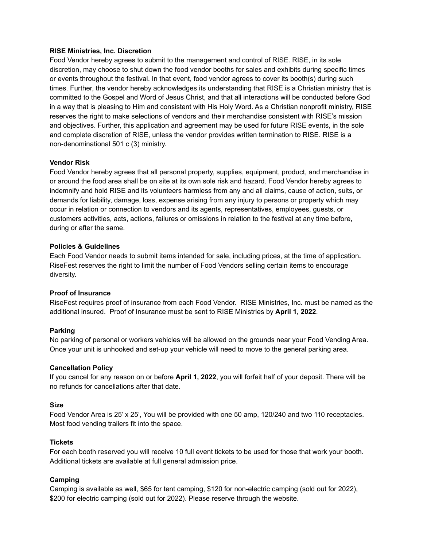# **RISE Ministries, Inc. Discretion**

Food Vendor hereby agrees to submit to the management and control of RISE. RISE, in its sole discretion, may choose to shut down the food vendor booths for sales and exhibits during specific times or events throughout the festival. In that event, food vendor agrees to cover its booth(s) during such times. Further, the vendor hereby acknowledges its understanding that RISE is a Christian ministry that is committed to the Gospel and Word of Jesus Christ, and that all interactions will be conducted before God in a way that is pleasing to Him and consistent with His Holy Word. As a Christian nonprofit ministry, RISE reserves the right to make selections of vendors and their merchandise consistent with RISE's mission and objectives. Further, this application and agreement may be used for future RISE events, in the sole and complete discretion of RISE, unless the vendor provides written termination to RISE. RISE is a non-denominational 501 c (3) ministry.

### **Vendor Risk**

Food Vendor hereby agrees that all personal property, supplies, equipment, product, and merchandise in or around the food area shall be on site at its own sole risk and hazard. Food Vendor hereby agrees to indemnify and hold RISE and its volunteers harmless from any and all claims, cause of action, suits, or demands for liability, damage, loss, expense arising from any injury to persons or property which may occur in relation or connection to vendors and its agents, representatives, employees, guests, or customers activities, acts, actions, failures or omissions in relation to the festival at any time before, during or after the same.

#### **Policies & Guidelines**

Each Food Vendor needs to submit items intended for sale, including prices, at the time of application**.** RiseFest reserves the right to limit the number of Food Vendors selling certain items to encourage diversity.

#### **Proof of Insurance**

RiseFest requires proof of insurance from each Food Vendor. RISE Ministries, Inc. must be named as the additional insured. Proof of Insurance must be sent to RISE Ministries by **April 1, 2022**.

# **Parking**

No parking of personal or workers vehicles will be allowed on the grounds near your Food Vending Area. Once your unit is unhooked and set-up your vehicle will need to move to the general parking area.

#### **Cancellation Policy**

If you cancel for any reason on or before **April 1, 2022**, you will forfeit half of your deposit. There will be no refunds for cancellations after that date.

#### **Size**

Food Vendor Area is 25' x 25', You will be provided with one 50 amp, 120/240 and two 110 receptacles. Most food vending trailers fit into the space.

#### **Tickets**

For each booth reserved you will receive 10 full event tickets to be used for those that work your booth. Additional tickets are available at full general admission price.

#### **Camping**

Camping is available as well, \$65 for tent camping, \$120 for non-electric camping (sold out for 2022), \$200 for electric camping (sold out for 2022). Please reserve through the website.